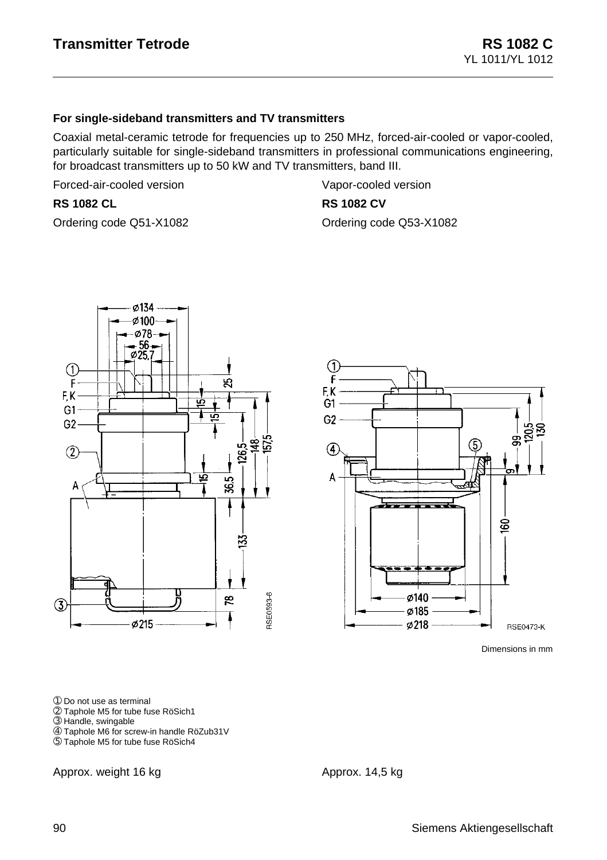#### **For single-sideband transmitters and TV transmitters**

Coaxial metal-ceramic tetrode for frequencies up to 250 MHz, forced-air-cooled or vapor-cooled, particularly suitable for single-sideband transmitters in professional communications engineering, for broadcast transmitters up to 50 kW and TV transmitters, band III.

Forced-air-cooled version Vapor-cooled version

#### **RS 1082 CL RS 1082 CV**

Ordering code Q51-X1082 Ordering code Q53-X1082





Dimensions in mm

➀ Do not use as terminal

➁ Taphole M5 for tube fuse RöSich1

➂ Handle, swingable

- ➃ Taphole M6 for screw-in handle RöZub31V
- ➄ Taphole M5 for tube fuse RöSich4

Approx. weight 16 kg Approx. 14,5 kg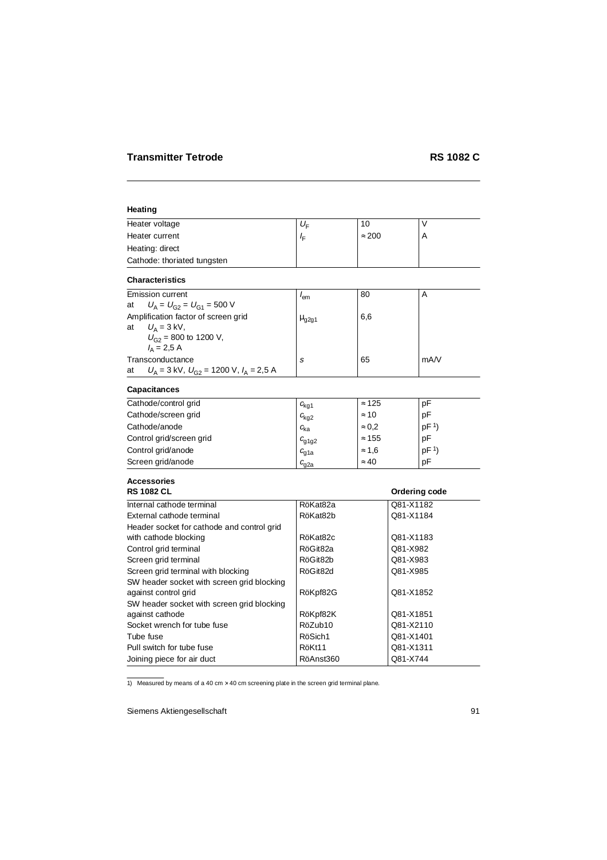## **Heating**

| Heater voltage              | $U_{\sqsubset}$ | 10            |  |
|-----------------------------|-----------------|---------------|--|
| Heater current              | Ιc              | $\approx 200$ |  |
| Heating: direct             |                 |               |  |
| Cathode: thoriated tungsten |                 |               |  |

## **Characteristics**

|    | Emission current                               | 'em                   | 80  | А    |
|----|------------------------------------------------|-----------------------|-----|------|
| at | $U_{\rm A} = U_{\rm G2} = U_{\rm G1} = 500$ V  |                       |     |      |
|    | Amplification factor of screen grid            | $\mu$ <sub>q2q1</sub> | 6,6 |      |
| at | $U_{\rm A}$ = 3 kV,                            |                       |     |      |
|    | $U_{G2}$ = 800 to 1200 V,                      |                       |     |      |
|    | $I_{\rm A} = 2.5$ A                            |                       |     |      |
|    | Transconductance                               | S                     | 65  | mA/V |
| at | $U_A$ = 3 kV, $U_{G2}$ = 1200 V, $I_A$ = 2,5 A |                       |     |      |

## **Capacitances**

| Cathode/control grid     | $c_{\text{kq1}}$ | $\approx$ 125 | рF              |  |
|--------------------------|------------------|---------------|-----------------|--|
| Cathode/screen grid      | $c_{\text{kg2}}$ | $\approx$ 10  | pF              |  |
| Cathode/anode            | $c_{\rm ka}$     | $\approx 0.2$ | pF <sup>1</sup> |  |
| Control grid/screen grid | $c_{q1q2}$       | $\approx$ 155 | pF              |  |
| Control grid/anode       | $c_{q1a}$        | $\approx 1.6$ | pF <sup>1</sup> |  |
| Screen grid/anode        | $c_{q2a}$        | $\approx 40$  | pF              |  |

#### **Accessories RS 1082 CL Ordering code**

| Internal cathode terminal                  | RöKat82a  | Q81-X1182 |
|--------------------------------------------|-----------|-----------|
| External cathode terminal                  | RöKat82b  | Q81-X1184 |
| Header socket for cathode and control grid |           |           |
| with cathode blocking                      | RöKat82c  | Q81-X1183 |
| Control grid terminal                      | RöGit82a  | Q81-X982  |
| Screen grid terminal                       | RöGit82b  | Q81-X983  |
| Screen grid terminal with blocking         | RöGit82d  | Q81-X985  |
| SW header socket with screen grid blocking |           |           |
| against control grid                       | RöKpf82G  | Q81-X1852 |
| SW header socket with screen grid blocking |           |           |
| against cathode                            | RöKpf82K  | Q81-X1851 |
| Socket wrench for tube fuse                | RöZub10   | Q81-X2110 |
| Tube fuse                                  | RöSich1   | Q81-X1401 |
| Pull switch for tube fuse                  | RöKt11    | Q81-X1311 |
| Joining piece for air duct                 | RöAnst360 | Q81-X744  |

1) Measured by means of a 40 cm  $\times$  40 cm screening plate in the screen grid terminal plane.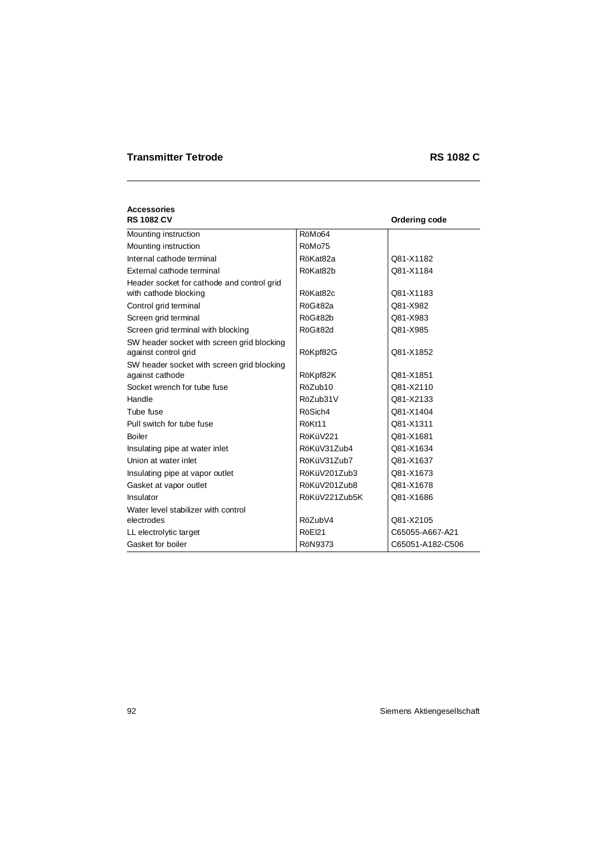**Accessories**

# RS 1082 CV **CONTROLLER CONTROLLER CONTROLLER CONTROLLER CONTROLLER CONTROLLER CONTROLLER CONTROLLER CONTROLLER CONTROLLER CONTROLLER CONTROLLER CONTROLLER CONTROLLER CONTROLLER CONTROLLER CONTROLLER CONTROLLER CONTROLLER C** Mounting instruction RöMo64 Mounting instruction and a set of the RöMo75 Internal cathode terminal RöKat82a Q81-X1182 External cathode terminal RöKat82b Q81-X1184 Header socket for cathode and control grid with cathode blocking and RöKat82c Q81-X1183 Control grid terminal and a RöGit82a and RöGit82a and Q81-X982 Screen grid terminal and the control RöGit82b and Q81-X983 Screen grid terminal with blocking RöGit82d | Q81-X985 SW header socket with screen grid blocking against control grid RöKpf82G Q81-X1852 SW header socket with screen grid blocking against cathode RöKpf82K Q81-X1851 Socket wrench for tube fuse RöZub10 (Q81-X2110 Handle RöZub31V Q81-X2133 Tube fuse Rösich4 RöSich4 Q81-X1404 Pull switch for tube fuse Rökt11 RöKt11 Rökt11 Q81-X1311 Boiler RöküV221 Q81-X1681 Insulating pipe at water inlet RöKüV31Zub4 Q81-X1634 Union at water inlet  $\overline{\phantom{0}}$  RöKüV31Zub7  $\overline{\phantom{0}}$  Q81-X1637 Insulating pipe at vapor outlet | RöKüV201Zub3 | Q81-X1673 Gasket at vapor outlet **RöKüV201Zub8** Q81-X1678 Insulator RöKüV221Zub5K Q81-X1686 Water level stabilizer with control electrodes RöZubV4 Q81-X2105 LL electrolytic target  $\vert$  RöEl21 C65055-A667-A21 Gasket for boiler **RöN9373** C65051-A182-C506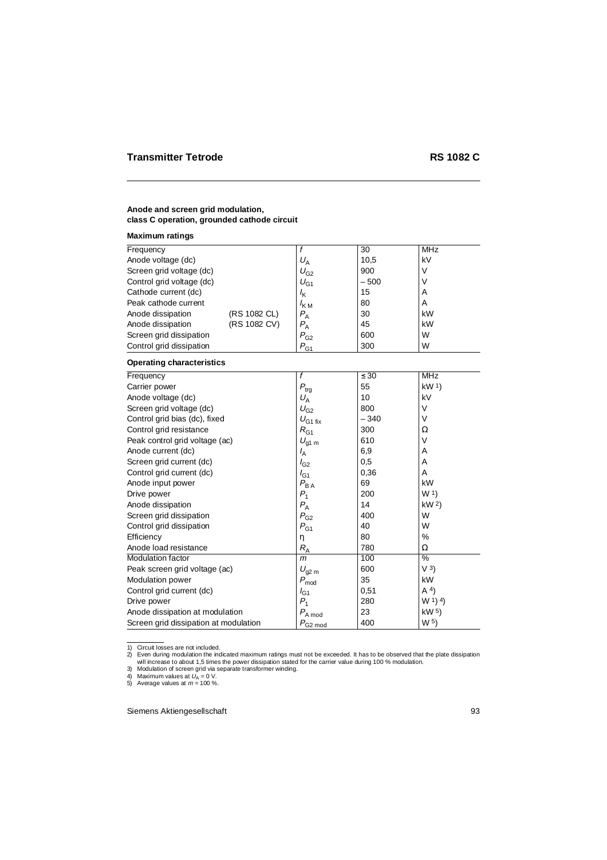#### **Maximum ratings**

| Frequency                 |              |                               | 30     | <b>MHz</b> |
|---------------------------|--------------|-------------------------------|--------|------------|
| Anode voltage (dc)        |              | $U_{\rm A}$                   | 10,5   | kV         |
| Screen grid voltage (dc)  |              | $U_{G2}$                      | 900    | V          |
| Control grid voltage (dc) |              | $U_{G1}$                      | $-500$ |            |
| Cathode current (dc)      |              | $I_{\mathsf{K}}$              | 15     | A          |
| Peak cathode current      |              | $\frac{I_{\rm K}}{I_{\rm M}}$ | 80     | A          |
| Anode dissipation         | (RS 1082 CL) | $P_{\rm A}$                   | 30     | kW         |
| Anode dissipation         | (RS 1082 CV) | $P_{\rm A}$                   | 45     | kW         |
| Screen grid dissipation   |              | $P_{G2}$                      | 600    | W          |
| Control grid dissipation  |              | $P_{G1}$                      | 300    | W          |

## **Operating characteristics**

| . 9                                   |                                |           |                                |  |
|---------------------------------------|--------------------------------|-----------|--------------------------------|--|
| Frequency                             |                                | $\leq 30$ | <b>MHz</b>                     |  |
| Carrier power                         | $P_{\text{trg}}$               | 55        | kW <sub>1</sub>                |  |
| Anode voltage (dc)                    | $U_A$                          | 10        | kV                             |  |
| Screen grid voltage (dc)              | $U_{G2}$                       | 800       | V                              |  |
| Control grid bias (dc), fixed         | $U_{G1fix}$                    | $-340$    | $\vee$                         |  |
| Control grid resistance               | $R_{G1}$                       | 300       | Ω                              |  |
| Peak control grid voltage (ac)        | $U_{\text{g1 m}}$              | 610       | $\vee$                         |  |
| Anode current (dc)                    | $I_A$                          | 6,9       | A                              |  |
| Screen grid current (dc)              | $I_{G2}$                       | 0,5       | A                              |  |
| Control grid current (dc)             | $I_{G1}$                       | 0,36      | A                              |  |
| Anode input power                     | $P_{\mathsf{B} \, \mathsf{A}}$ | 69        | kW                             |  |
| Drive power                           | $P_1$                          | 200       | W <sup>1</sup>                 |  |
| Anode dissipation                     | $P_{\rm A}$                    | 14        | kW <sup>2</sup>                |  |
| Screen grid dissipation               | $P_{G2}$                       | 400       | W                              |  |
| Control grid dissipation              | $P_{G1}$                       | 40        | W                              |  |
| Efficiency                            | η                              | 80        | $\%$                           |  |
| Anode load resistance                 | $R_{\rm A}$                    | 780       | Ω                              |  |
| <b>Modulation factor</b>              | $\mathsf{m}$                   | 100       | %                              |  |
| Peak screen grid voltage (ac)         | $U_{\text{g2 m}}$              | 600       | V <sup>3</sup>                 |  |
| <b>Modulation power</b>               | $P_{\mathsf{mod}}$             | 35        | kW                             |  |
| Control grid current (dc)             | $I_{G1}$                       | 0,51      | A <sup>4</sup>                 |  |
| Drive power                           | $P_1$                          | 280       | (W <sup>1</sup> ) <sup>4</sup> |  |
| Anode dissipation at modulation       | $P_{\rm A\,mod}$               | 23        | kW <sub>5</sub>                |  |
| Screen grid dissipation at modulation | $P_{\text{G2 mod}}$            | 400       | W <sub>5</sub>                 |  |

1) Circuit losses are not included.

4) Maximum values at  $U_A = 0$  V.

5) Average values at  $m = 100$  %.

<sup>2)</sup> Even during modulation the indicated maximum ratings must not be exceeded. It has to be observed that the plate dissipation will increase to about 1,5 times the power dissipation stated for the carrier value during 100 % modulation. 3) Modulation of screen grid via separate transformer winding.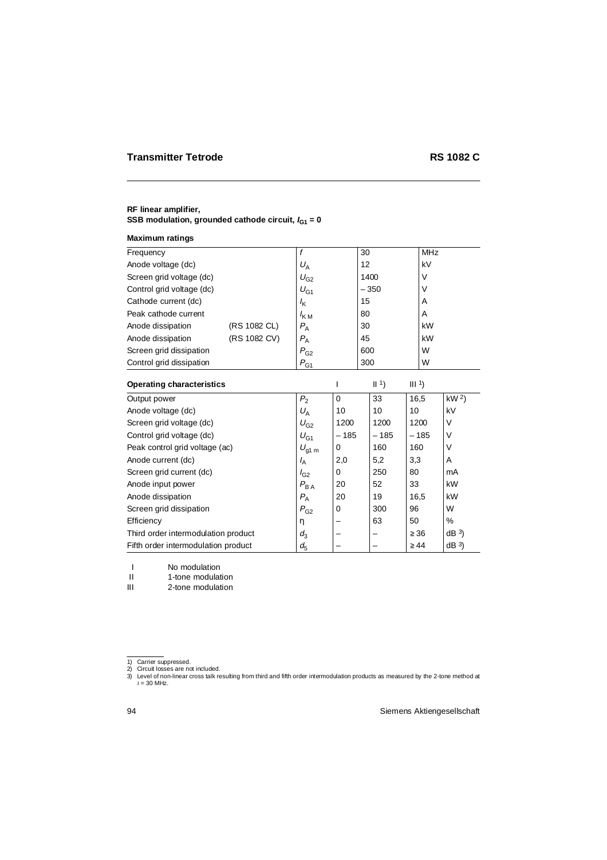## **RF linear amplifier, SSB** modulation, grounded cathode circuit,  $I_{G1} = 0$

## **Maximum ratings**

| Frequency                           |              | $\mathbf f$                  |             | 30   |        |                  | <b>MHz</b> |                     |
|-------------------------------------|--------------|------------------------------|-------------|------|--------|------------------|------------|---------------------|
| Anode voltage (dc)                  |              |                              |             | 12   |        |                  | kV         |                     |
|                                     |              | $U_A$                        |             |      |        |                  |            |                     |
| Screen grid voltage (dc)            |              | $U_{G2}$                     |             | 1400 |        |                  | $\vee$     |                     |
| Control grid voltage (dc)           |              | $U_{\rm G1}$                 |             |      | $-350$ |                  | $\vee$     |                     |
| Cathode current (dc)                |              | $l_{\mathsf{K}}$             |             | 15   |        |                  | A          |                     |
| Peak cathode current                |              | $I_{KM}$                     |             | 80   |        |                  | A          |                     |
| Anode dissipation                   | (RS 1082 CL) | $P_{A}$                      |             | 30   |        |                  | kW         |                     |
| Anode dissipation                   | (RS 1082 CV) | $P_{\rm A}$                  |             | 45   |        |                  | kW         |                     |
| Screen grid dissipation             |              | $P_{G2}$                     |             | 600  |        |                  | W          |                     |
| Control grid dissipation            |              | $P_{G_1}$                    |             | 300  |        |                  | W          |                     |
| <b>Operating characteristics</b>    |              |                              | ı           |      | 11     | III <sup>1</sup> |            |                     |
| Output power                        |              | P <sub>2</sub>               | $\mathbf 0$ |      | 33     | 16,5             |            | kW <sup>2</sup>     |
| Anode voltage (dc)                  |              | $U_A$                        | 10          |      | 10     | 10               |            | kV                  |
| Screen grid voltage (dc)            |              | $U_{\rm G2}$                 | 1200        |      | 1200   |                  | 1200       | V                   |
| Control grid voltage (dc)           |              | $U_{G1}$                     | $-185$      |      | $-185$ |                  | $-185$     | V                   |
| Peak control grid voltage (ac)      |              | $U_{\text{g1 m}}$            | 0           |      | 160    | 160              |            | V                   |
| Anode current (dc)                  |              | $I_A$                        | 2,0         |      | 5,2    | 3,3              |            | A                   |
| Screen grid current (dc)            |              | $I_{G2}$                     | 0           |      | 250    | 80               |            | mA                  |
| Anode input power                   |              | $P_{\mathsf{B}\,\mathsf{A}}$ | 20          |      | 52     | 33               |            | kW                  |
| Anode dissipation                   |              | $P_{\rm A}$                  | 20          |      | 19     | 16,5             |            | kW                  |
| Screen grid dissipation             |              | $P_{\rm G2}$                 | 0           |      | 300    | 96               |            | W                   |
| Efficiency                          |              | η                            |             |      | 63     | 50               |            | %                   |
| Third order intermodulation product |              | $d_3$                        |             |      |        | $\geq 36$        |            | dB <sup>3</sup>     |
| Fifth order intermodulation product |              | $d_{5}$                      |             |      |        | $\geq 44$        |            | $dB$ <sup>3</sup> ) |

I No modulation II 1-tone modulation III 2-tone modulation

<sup>1)</sup> Carrier suppressed. 2) Circuit losses are not included.

<sup>3)</sup> Level of non-linear cross talk resulting from third and fifth order intermodulation products as measured by the 2-tone method at  $t = 30$  MHz.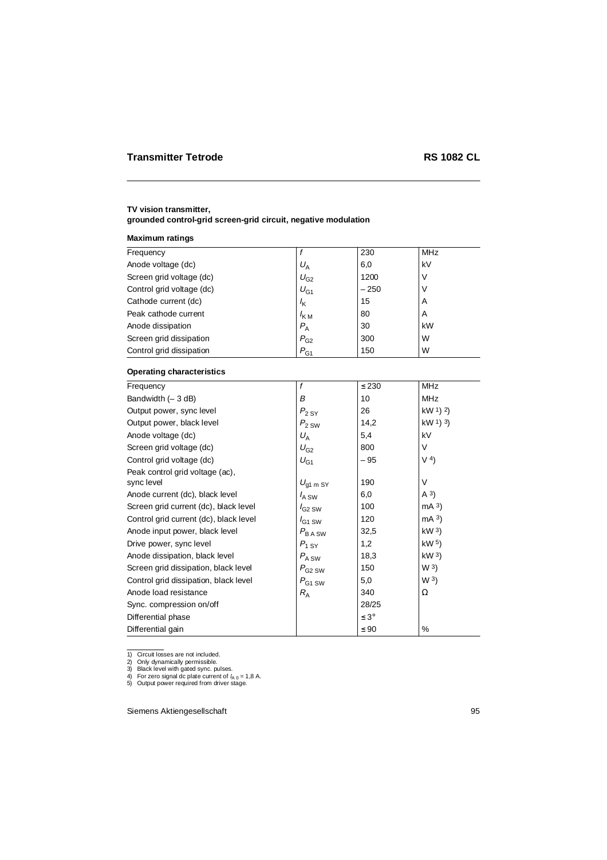## **TV vision transmitter, grounded control-grid screen-grid circuit, negative modulation**

## **Maximum ratings**

| Frequency                 |             | 230    | <b>MHz</b> |
|---------------------------|-------------|--------|------------|
| Anode voltage (dc)        | $U_{\rm A}$ | 6,0    | kV         |
| Screen grid voltage (dc)  | $U_{G2}$    | 1200   | v          |
| Control grid voltage (dc) | $U_{G1}$    | $-250$ | ν          |
| Cathode current (dc)      | $I_{\rm K}$ | 15     | A          |
| Peak cathode current      | $I_{KM}$    | 80     | A          |
| Anode dissipation         | $P_{\rm A}$ | 30     | kW         |
| Screen grid dissipation   | $P_{G2}$    | 300    | W          |
| Control grid dissipation  | $P_{G1}$    | 150    | W          |

## **Operating characteristics**

| Frequency                              | f                     | $\leq 230$     | <b>MHz</b>                         |
|----------------------------------------|-----------------------|----------------|------------------------------------|
| Bandwidth $(-3 dB)$                    | B                     | 10             | <b>MHz</b>                         |
| Output power, sync level               | $P_{2 \text{ SY}}$    | 26             | kW $(1)$ 2)                        |
| Output power, black level              | $P_{2 \text{SW}}$     | 14,2           | $kW$ <sup>1</sup> ) <sup>3</sup> ) |
| Anode voltage (dc)                     | $U_A$                 | 5,4            | kV                                 |
| Screen grid voltage (dc)               | $U_{G2}$              | 800            | $\vee$                             |
| Control grid voltage (dc)              | $U_{G1}$              | $-95$          | V <sup>4</sup>                     |
| Peak control grid voltage (ac),        |                       |                |                                    |
| sync level                             | $U_{q1 \text{ m SY}}$ | 190            | $\vee$                             |
| Anode current (dc), black level        | $I_{\rm ASW}$         | 6,0            | $(A^3)$                            |
| Screen grid current (dc), black level  | $I_{G2SW}$            | 100            | mA <sup>3</sup>                    |
| Control grid current (dc), black level | $I_{G1}$ SW           | 120            | mA <sup>3</sup>                    |
| Anode input power, black level         | $P_{\text{BA SW}}$    | 32,5           | kW <sup>3</sup>                    |
| Drive power, sync level                | $P_{1 \text{ SY}}$    | 1,2            | kW <sub>5</sub>                    |
| Anode dissipation, black level         | $P_{A \text{SW}}$     | 18,3           | kW <sup>3</sup>                    |
| Screen grid dissipation, black level   | $P_{G2SW}$            | 150            | W <sup>3</sup>                     |
| Control grid dissipation, black level  | $P_{G1 \, \text{SW}}$ | 5,0            | W <sup>3</sup>                     |
| Anode load resistance                  | $R_{\rm A}$           | 340            | Ω                                  |
| Sync. compression on/off               |                       | 28/25          |                                    |
| Differential phase                     |                       | $\leq 3^\circ$ |                                    |
| Differential gain                      |                       | $\leq 90$      | %                                  |

<sup>1)</sup> Circuit losses are not included. 2) Only dynamically permissible. 3) Black level with gated sync. pulses.

<sup>4)</sup> For zero signal dc plate current of  $I_{A,0} = 1,8$  A.

<sup>5)</sup> Output power required from driver stage.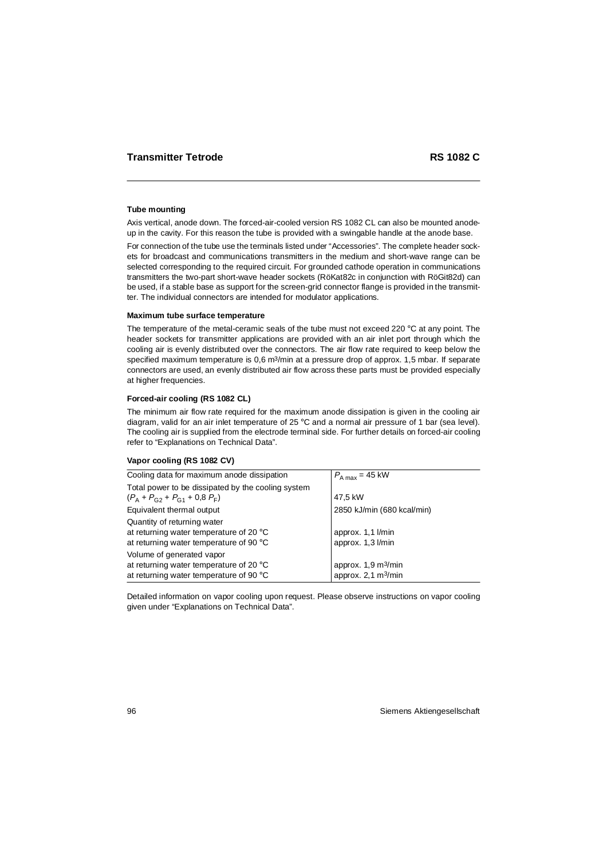## **Tube mounting**

Axis vertical, anode down. The forced-air-cooled version RS 1082 CL can also be mounted anodeup in the cavity. For this reason the tube is provided with a swingable handle at the anode base.

For connection of the tube use the terminals listed under "Accessories". The complete header sockets for broadcast and communications transmitters in the medium and short-wave range can be selected corresponding to the required circuit. For grounded cathode operation in communications transmitters the two-part short-wave header sockets (RöKat82c in conjunction with RöGit82d) can be used, if a stable base as support for the screen-grid connector flange is provided in the transmitter. The individual connectors are intended for modulator applications.

## **Maximum tube surface temperature**

The temperature of the metal-ceramic seals of the tube must not exceed 220  $\degree$ C at any point. The header sockets for transmitter applications are provided with an air inlet port through which the cooling air is evenly distributed over the connectors. The air flow rate required to keep below the specified maximum temperature is  $0.6$  m<sup>3</sup>/min at a pressure drop of approx. 1.5 mbar. If separate connectors are used, an evenly distributed air flow across these parts must be provided especially at higher frequencies.

## **Forced-air cooling (RS 1082 CL)**

The minimum air flow rate required for the maximum anode dissipation is given in the cooling air diagram, valid for an air inlet temperature of 25  $\degree$ C and a normal air pressure of 1 bar (sea level). The cooling air is supplied from the electrode terminal side. For further details on forced-air cooling refer to "Explanations on Technical Data".

## **Vapor cooling (RS 1082 CV)**

| Cooling data for maximum anode dissipation         | $P_{A max}$ = 45 kW                  |
|----------------------------------------------------|--------------------------------------|
| Total power to be dissipated by the cooling system |                                      |
| $(P_{A} + P_{C2} + P_{C1} + 0.8 P_{F})$            | 47,5 kW                              |
| Equivalent thermal output                          | 2850 kJ/min (680 kcal/min)           |
| Quantity of returning water                        |                                      |
| at returning water temperature of 20 °C            | approx. 1,1 l/min                    |
| at returning water temperature of 90 $\degree$ C   | approx. 1,3 l/min                    |
| Volume of generated vapor                          |                                      |
| at returning water temperature of 20 °C            | approx. $1,9 \text{ m}^3/\text{min}$ |
| at returning water temperature of 90 °C            | approx. $2,1 \text{ m}^3/\text{min}$ |

Detailed information on vapor cooling upon request. Please observe instructions on vapor cooling given under "Explanations on Technical Data".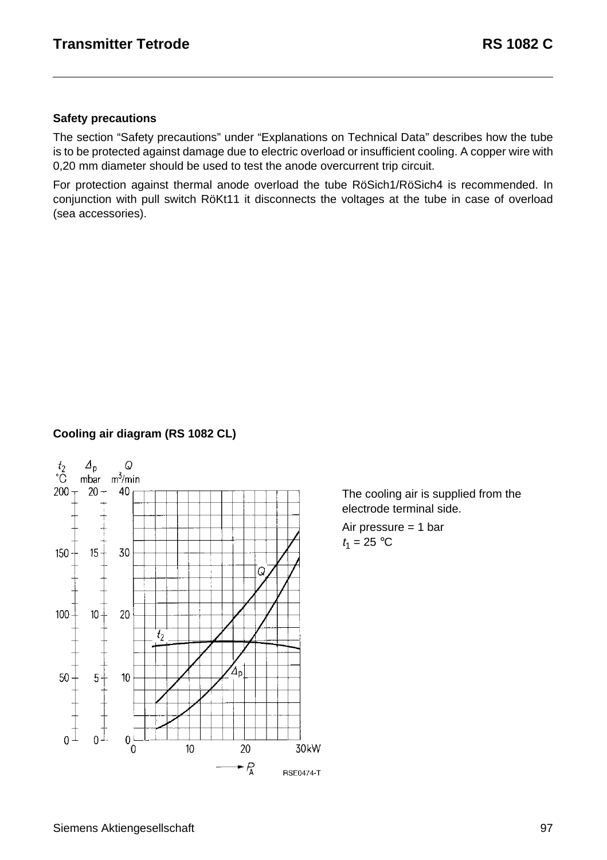#### **Safety precautions**

The section "Safety precautions" under "Explanations on Technical Data" describes how the tube is to be protected against damage due to electric overload or insufficient cooling. A copper wire with 0,20 mm diameter should be used to test the anode overcurrent trip circuit.

For protection against thermal anode overload the tube RöSich1/RöSich4 is recommended. In conjunction with pull switch RöKt11 it disconnects the voltages at the tube in case of overload (sea accessories).

## **Cooling air diagram (RS 1082 CL)**



The cooling air is supplied from the electrode terminal side.

Air pressure = 1 bar  $t_1 = 25 °C$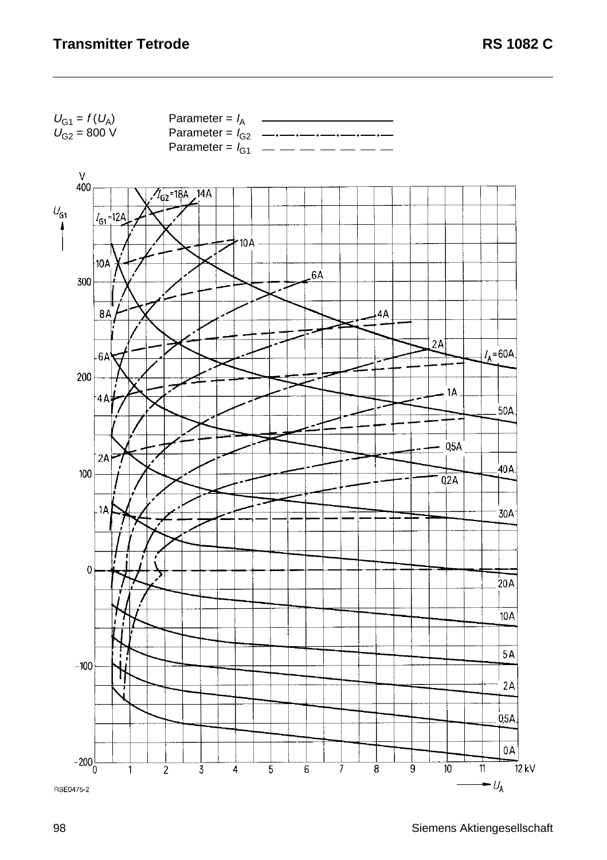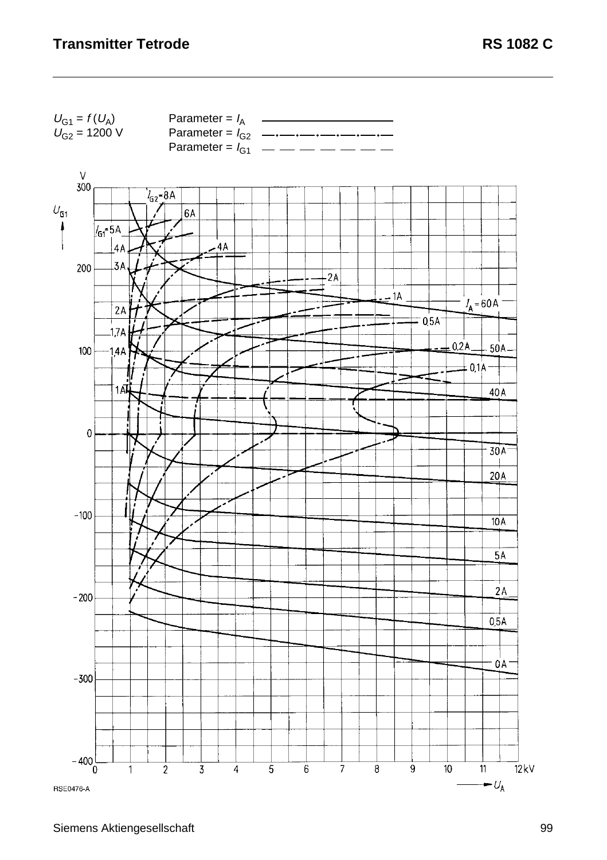